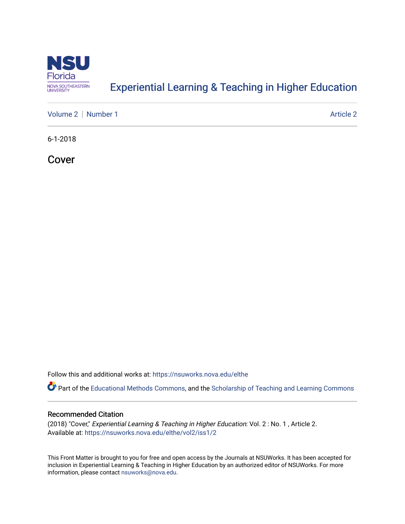

# [Experiential Learning & Teaching in Higher Education](https://nsuworks.nova.edu/elthe)

[Volume 2](https://nsuworks.nova.edu/elthe/vol2) | [Number 1](https://nsuworks.nova.edu/elthe/vol2/iss1) Article 2

6-1-2018

Cover

Follow this and additional works at: [https://nsuworks.nova.edu/elthe](https://nsuworks.nova.edu/elthe?utm_source=nsuworks.nova.edu%2Felthe%2Fvol2%2Fiss1%2F2&utm_medium=PDF&utm_campaign=PDFCoverPages)

Part of the [Educational Methods Commons,](http://network.bepress.com/hgg/discipline/1227?utm_source=nsuworks.nova.edu%2Felthe%2Fvol2%2Fiss1%2F2&utm_medium=PDF&utm_campaign=PDFCoverPages) and the Scholarship of Teaching and Learning Commons

### Recommended Citation

(2018) "Cover," Experiential Learning & Teaching in Higher Education: Vol. 2 : No. 1 , Article 2. Available at: [https://nsuworks.nova.edu/elthe/vol2/iss1/2](https://nsuworks.nova.edu/elthe/vol2/iss1/2?utm_source=nsuworks.nova.edu%2Felthe%2Fvol2%2Fiss1%2F2&utm_medium=PDF&utm_campaign=PDFCoverPages)

This Front Matter is brought to you for free and open access by the Journals at NSUWorks. It has been accepted for inclusion in Experiential Learning & Teaching in Higher Education by an authorized editor of NSUWorks. For more information, please contact [nsuworks@nova.edu.](mailto:nsuworks@nova.edu)